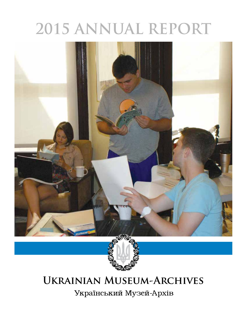# **2015 ANNUAL REPORT**





# **Ukrainian Museum-Archives**

Український Музей-Архів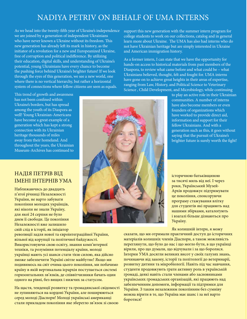### NADIYA PETRIV ON BEHALF OF UMA INTERNS

As we head into the twenty-fifth year of Ukraine's independence we are joined by a generation of independent Ukrainians who have never known a Ukraine without its freedom. This new generation has already left its mark in history, as the initiator of a revolution for a new and Europeanized Ukraine, free of corruption and political indifference. By utilizing their education, digital skills, and understanding of Ukraine's potential, young Ukrainians have every chance to become the pushing force behind Ukraine's brighter future! If we look through the eyes of this generation, we see a new world, one where there is no vertical hierarchy, but rather a horizontal system of connections where fellow citizens are seen as equals.

This trend of growth and awareness has not been confined within Ukraine's borders, but has spread among the youth of its Diaspora as well! Young Ukrainian-Americans have become a great example of a generation which has kept a strong connection with its Ukrainian heritage thousands of miles away from their homeland. And throughout the years, the Ukrainian Museum-Archives has continued to

### НАДІЯ ПЕТРІВ ВІД ІМЕНІ ІНТЕРНІВ УМА

Наближаючись до двадцять п'ятої річниці Незалежності України, не варто забувати покоління молодих українців, які ніколи не знали Україну, для якої 24 серпня не було днем її свободи. Це покоління Незалежності вже залишило свій слід в історії, як ініціатор

революції задля нової та євроінтеграційної України, вільної від корупції та політичної байдужості. Використовуючи свою освіту, знання комп'ютерної техніки, та розуміння потенціалу країни, молоді українці мають усі шанси стати тією силою, яка дійсно зможе забезпечити Україні світле майбутнє! Якщо ми подивимось на світ очима цього покоління, ми побачимо країну в якій вертикальна ієрархія поступається системi горизонтальних зв'язків, де співвітчизники бачать один одного на рівні, без вищих і нижчих за статусом.

На щастя, тенденції розвитку та громадянської свідомості не зупиняються на кордоні України, але поширюються серед молоді Діаспори! Молоді українські американці стали прикладом покоління яке зберегло зв'язок зі своєю

support this new generation with the summer intern program for college students to work on our collections, catalog and in general learn more about Ukraine. The UMA has also had interns who do not have Ukrainian heritage but are simply interested in Ukraine and American immigration history.

As a former intern, I can state that we have the opportunity for hands-on access to historical materials from past members of the Diaspora, to review what came before and what could be – what Ukrainians believed, thought, felt and fought for. UMA interns have gone on to achieve great heights in their areas of expertise, ranging from Law, History, and Political Science to Veterinary Science , Child Development, and Microbiology, while continuing

> to play an active role in their Ukrainian communities. A number of interns have also become members or even founders of organizations which have worked to provide direct aid, information and support for their fellow Ukrainians. And with a generation such as this, it goes without saying that the pursuit of Ukraine's brighter future is surely worth the fight!

історичною батьківщиною за тисячі миль від неї. І через роки, Український Музей-Архів продовжує підтримувати це покоління, спонсоруючи програму стажування влітку для студентів які працюють над нашими збірками, каталоґують і взагалі більше дізнаються про Україну.

Як колишній інтерн, я можу

сказати, що ми отримали практичний доступ до історичних матеріалів колишніх членів Діаспори, а також можливість переглянути, що було до нас і що могло бути, в що українці вірили, про що думали, що відчували і за що боролися. Інтерни УМА досягли великих висот у своїх галузях знань, починаючи від закону, історії та політології до ветеринарії, розвитку дитини та мікробіології. Навіть під час навчання, студенти продовжують грати активну роль в українській громаді, деякі навіть стали членами або засновниками українських громадських організацій, які працюють над забезпеченням допомоги, інформації та підтримки для України. З таким незалежним поколінням без сумніву можна вірити в те, що Україна має шанс і за неї варто боротися!

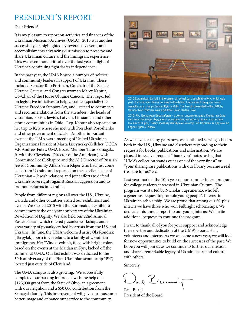### PRESIDENT'S REPORT

#### Dear Friends!

It is my pleasure to report on activities and finances of the Ukrainian Museum-Archives (UMA). 2015 was another successful year, highlighted by several key events and accomplishments advancing our mission to preserve and share Ukrainian culture and the immigrant experience. This was even more critical over the last year in light of Ukraine's continuing fight for its independence.

In the past year, the UMA hosted a number of political and community leaders in support of Ukraine. These included Senator Rob Portman, Co-chair of the Senate Ukraine Caucus, and Congresswoman Marcy Kaptur, Co-Chair of the House Ukraine Caucus. They reported on legislative initiatives to help Ukraine, especially the Ukraine Freedom Support Act, and listened to comments and recommendations from the attendees: the heads of Ukrainian, Polish, Jewish, Latvian, Lithuanian and other ethnic communities in Ohio. Rep. Kaptur also reported on her trip to Kyiv where she met with President Poroshenko and other government officials. Another important event at the UMA was a meeting of United Ukrainian Organizations President Marta Liscynesky-Kelleher, UCCA V.P. Andrew Futey, UMA Board Member Taras Szmagala, Jr. with the Cleveland Director of the American Jewish Committee Lee C. Shapiro and the AJC Director of Russian Jewish Community Affairs Sam Kliger who had just come back from Ukraine and reported on the excellent state of Ukrainian – Jewish relations and joint efforts to defend Ukraine's sovereignty against Russian aggression and to promote reforms in Ukraine.

People from different regions all over the U.S., Ukraine, Canada and other countries visited our exhibitions and events. We started 2015 with the Euromaidan exhibit to commemorate the one year anniversary of the Ukrainian Revolution of Dignity. We also held our 22nd Annual Easter Bazaar, which offered pysanka workshops and a great variety of pysanky crafted by artists from the U.S. and Ukraine. In June, the UMA welcomed artist Ola Rondiak (Terpylak), born in Cleveland to a family of Ukrainian immigrants. Her "Vinok" exhibit, filled with bright colors based on the events at the Maidan in Kyiv, kicked off the summer at UMA. Our last exhibit was dedicated to the 50th anniversary of the Plast Ukrainian scout camp "PK", located just outside of Cleveland.

The UMA campus is also growing. We successfully completed our parking lot project with the help of a \$125,000 grant from the State of Ohio, an agreement with our neighbor, and a \$50,000 contribution from the Szmagala family. This improvement will give our museum a better image and enhance our service to the community.



2015 Euromaidan Exhibit: in the center, an actual park bench from Kyiv, which was part of a barricade citizens constructed to defend themselves from government assaults during the protests in Kyiv in 2014. The bench, presented to the UMA by Senator Rob Portman, was a gift from Texan Harlan Crow.

2015 Рік, Експозиція Евромайдан – у центрі, справжня лава з Києва, яка була частиною барикади збудованої громадянами для захисту під час протестів в Києві в 2014 році. Лавку презентував Музею Сенатор Роб Портман як дарунок від Гарлен Кров з Техасу.

As we have for many years now, we continued serving scholars both in the U.S., Ukraine and elsewhere responding to their requests for books, publications and information. We are pleased to receive frequent "thank you" notes saying that "UMA's collection stands out as one of the very finest" or "your sharing rare publications with our library became a real treasure for us," etc.

Last year marked the 10th year of our summer intern program for college students interested in Ukrainian Culture. The program was started by Nicholas Suprunenko, who left a generous bequest to promote young people's interest in Ukrainian scholarship. We are proud that among our 50-plus interns we have three who won Fulbright scholarships. We dedicate this annual report to our young interns. We invite additional bequests to continue the program.

I want to thank all of you for your support and acknowledge the expertise and dedication of the UMA's Board, staff, volunteers and interns. As we welcome a new year, we will look for new opportunities to build on the successes of the past. We hope you will join us as we continue to further our mission and share a remarkable legacy of Ukrainian art and culture with others.

Sincerely,

and Bunne

Paul Burlij President of the Board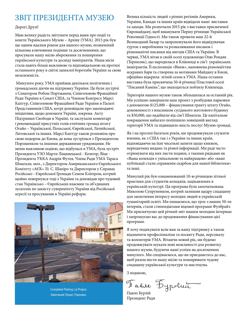### ЗВІТ ПРЕЗИДЕНТА МУЗЕЮ Велика кількість людей з різних регіонів Америки,

#### Дорогі Друзі!

Маю велику радість звітувати перед вами про події та кошти Українського Музею – Архіву (УМА). 2015 рік був ще одним вдалим роком для нашого музею, позначений кількома ключовими подіями та досягненнями, що просували нашу місію збереження та поширення української культури та досвіду іммігрантів. Наша місія стала навіть більш важливою та відповідальною на протязі останнього року в світлі запеклої боротьби України за свою незалежність.

 Минулого року, УМА приймав декількох політичних і громадських діячів на підтримку України. Це були зустрічі з Сенатором Робом Портманом, Співголовою Фракційної Ради України в Сенаті США, та Членом Конгресу Марсі Каптур, Співголовою Фракційної Ради України в Палаті Представників США, котрі доповідали про законодавчі ініціативи, щодо допомоги Україні, зокрема Акту Підтримки Свободи в Україні, та заслухали коментарі і рекомендації присутніх голів етнічних громад штату Огайо – Української, Польської, Єврейської, Латвійської, Литовської та інших. Марсі Каптур також розповіла про свою подорож до Києва, де вона зустрілася з Президентом Порошенком та іншими державними урядовцями. Не менш важливою подією, що відбулася в УМА, була зустріч Президента УЗО Марти Ліщинецької - Келегер, Віце - Президента УККА Андрія Футея, Члена Ради УМА Тараса Шмаґали, мол., з Директором Американського Єврейського Комітету «АЄК» Лі С. Шапіро та Директором у Справах Російсько - Єврейської Громади Семом Кліґером, котрий щойно повернувся тоді з України та доповідав про чудовий стан Українсько – Єврейських взаємин та об'єднаних зусиллях по захисту суверенітету України від Російської агресії та просуванню в Україні реформ.



Completed Parking Lot Project. Закінчений Проект Парковки.

України, Канади та інших країн відвідали наші виставки та заходи. Ми розпочали 2015 рік з виставки присвяченої Євромайдану, щоб вшанувати Першу річницю Української Революції Гідності. Ми також провели наш 22-й Великодний Базар та запропонували його відвідувачам гурток з вироблення та розмалювання писанок і різноманітні писанки від митців США та України. В червні, УМА вітав в своїй оселі художницю Олю Рондяк (Терпиляк), що народилася в Клівленді в сім'ї українських іммігрантів. Її експозиція «Вінок», наповнена різномаїттям яскравих барв та створена за мотивами Майдану в Києві, офіційно відкрила літній сезон в УМА. Наша остання виставка була присвячена 50-й річниці Пластової оселі "Писаний Камінь", що знаходиться поблизу Клівленда.

Територія нашого музею також збільшилася за останній рік. Ми успішно завершили наш проект з розбудови парковки з допомогою \$125,000 – фінансування гранту штату Огайо, домовленості з власником сусіднього житлового будинку та \$50,000, що надійшли від сім'ї Шмаґала. Це капітальне покращення набагато поліпшило зовнішній вигляд території УМА та підвищило якість послуг Музею громаді.

Як і на протязі багатьох років, ми продовжували служити вченим, як з США так і з України та інших країн, відповідаючи на їхні чисельні запити щодо книжок, періодичних видань та різної інформації. Ми раді часто отримувати від них листи подяки, з такими рядками як «Ваша колекція є унікальною та найкращою» або «ваші публікації стали справжнім скарбом для нашої бібліотеки» та інші.

Минулий рік був ознаменований 10-ю річницею літньої практики для студентів коледжів, зацікавлених в українській культурі. Ця програма була започаткована Миколою Супруненком, котрий залишив щедру спадщину для заохочення інтересу молодих людей в українській гуманітарній освіті. Ми пишаємося, що троє з наших 50-ти інтернів, стали стипендіатами відомої програми Фулбрайт. Ми присвячуємо цей річний звіт нашим молодим інтернам і запрошуємо вас до продовження фінансування цієї програми.

Я хочу подякувати всім вам за вашу підтримку а також відзначити професіоналізм та посвяту Ради, персоналу та волонтерів УМА. Вітаючи новий рік, ми будемо продовжувати шукати нові можливості для розвитку нашого музею, будуючи наші успіхи на досягненнях минулого. Ми сподіваємося, що ви приєднаєтесь до нас, щоб разом нести нашу місію та поширювати чудову спадщину української культури та мистецтва.

З подякою,

Павло Бурский

Президент Ради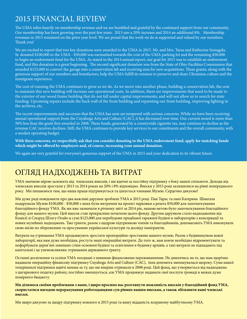### 2015 FINANCIAL REVIEW

The UMA relies heavily on membership revenue and we are humbled and grateful by the continued support from our community. Our membership has been growing over the past few years: 2013 saw a 20% increase and 2014 an additional 8%. Membership revenues in 2015 remained on the prior year level. We are proud that the work we do is supported and valued by our members. Thank you!

We are excited to report that two key donations were awarded to the UMA in 2015. Mr. and Mrs. Taras and Katherine Szmagala, Sr. donated \$100,000 to the UMA - \$50,000 was earmarked towards the cost of the UMA parking lot and the remaining \$50,000 to begin an endowment fund for the UMA. As stated in the 2014 annual report, our goal for 2015 was to establish an endowment fund, and this donation is a great beginning. The second significant donation was from the State of Ohio Facilities Commission that awarded \$125,000 to convert the garage into a conservation lab and receiving area for new acquisitions. These grants, along with the generous support of our members and benefactors, help the UMA fulfill its mission to preserve and share Ukrainian culture and the immigrant experience.

The cost of running the UMA continues to grow as we do. As we move into another phase, building a conservation lab, the cost to maintain this new building will increase our operational costs. In addition, there are improvements that need to be made to the exterior of our wood frame building that do not fall under capital improvements, and will not allow us to search for state funding. Upcoming repairs include the back wall of the front building and repainting our front building, improving lighting in the archives, etc.

The recent improvements and successes that the UMA has seen are tempered with serious concerns. While we have been receiving annual operational support from the Cuyahoga Arts and Culture (CAC), it has decreased over time. Our current award is more than 50% less than the grant first awarded in 2008. These funds, generated by a countywide cigarette tax, may continue to decline as the revenue CAC receives declines. Still, the UMA continues to provide key services to our constituents and the overall community, with a modest operating budget.

**With these concerns, we respectfully ask that you consider donating to the UMA endowment fund, apply for matching funds which might be offered by employers and, of course, increasing your annual donation.** 

We again are very grateful for everyone's generous support of the UMA in 2015 and your dedication to its vibrant future.

### ОГЛЯД НАДХОДЖЕНЬ ТА ВИТРАТ

УМА значною мірою залежить від членських внесків, і ми вдячні за постійну підтримку з боку нашої спільноти. Доходи від членських внесків зростали у 2013 та 2014 роках на 20% і 8% відповідно. Внески у 2015 році залишилися на рівні попереднього року. Ми пишаємося тим, що наша праця підтримується та цінується членами Музею. Сердечно дякуємо!

Ми дуже раді повідомити про два важливі дарунки зроблені УМА в 2015 році. Пан Тарас та пані Катерина Шмаґала подарували Музею \$100,000 - \$50,000 з яких були витрачені на проект парковки а решта \$50,000 для започаткування благодійного фонду УМА. Як ми вже зазначали в річному звіті за 2014 рік, нашою метою було започаткування благодійного фонду для нашого музею. Цей внесок став прекрасним початком цього фонду. Другим дарунком стало надходження від Комісії зі Споруд Штату Огайо в сумі \$125,000 для перебудови придбаної гаражної будівлі в лабораторію з консервації та нових музейних надходжень. Такі ґранти, разом з щедрою підтримкою членів та благодійників, допомагають УМА виконувати свою місію по збереженню та просуванню української культури та досвіду іммігрантів.

Витрати на утримання УМА продовжують зростати пропорційно зростанню нашого музею. Разом з будівництвом нової лабораторії, яка нам дуже необхідна, ростуть наші операційні витрати. До того ж, нам конче необхідно відремонтувати та пофарбувати дерев'яні зовнішні стіни основної будівлі та освітлення в будинку архівів, а такі витрати не підпадають під капітальні і це унеможливлює отримання державного ґранту.

Останні досягнення та успіхи УМА поєднані з певними фінансовими переживаннями. Не дивлячись на те, що нам щорічно надавали операційну фінансову підтримку Cuyahoga Arts and Culture (CAC), їхня допомога зменшувалася щороку. Сума нашої теперішньої підтримки вдвічі менша за ту, що ми вперше отримали в 2008 році. Цей фонд, що утворюється від надходжень з цигаркового податку району, постійно зменшується, але УМА продовжує надавати свої послуги громаді в межах дуже помірного бюджету.

**Ми ділимося своїми проблемами з вами, і щиро просимо вас розглянути можливість внесків у благодійний фонд УМА, скористатися нагодою перерахування роботодавцями сум рівних вашим внескам, а також збільшити ваші членські внески.**

Ми щиро дякуємо за щедру підтримку кожного в 2015 році та вашу відданість яскравому майбутньому УМА.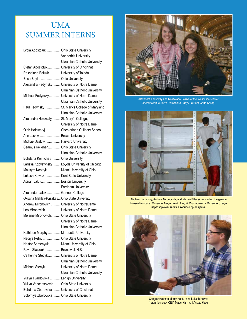## UMA SUMMER INTERNS

| Lydia Apostoluk  Ohio State University       |                                                  |
|----------------------------------------------|--------------------------------------------------|
|                                              | Vanderbilt University                            |
|                                              | <b>Ukrainian Catholic University</b>             |
| Stefan Apostoluk University of Cincinnati    |                                                  |
| Roksolana Balukh  University of Toledo       |                                                  |
| Erica Boyko  Ohio University                 |                                                  |
| Alexandra Fedynsky  University of Notre Dame |                                                  |
|                                              | Ukrainian Catholic University                    |
| Michael Fedynsky University of Notre Dame    |                                                  |
|                                              | Ukrainian Catholic University                    |
|                                              | Paul Fedynsky  St. Mary's College of Maryland    |
|                                              | <b>Ukrainian Catholic University</b>             |
| Alexandra Holowatyj St. Mary's College,      |                                                  |
|                                              | University of Notre Dame                         |
|                                              | Oleh Holowatyj  Chesterland Culinary School      |
| Ann Jaskiw  Brown University                 |                                                  |
| Michael Jaskiw  Harvard University           |                                                  |
| Seamus Kelleher  Ohio State University       |                                                  |
|                                              | Ukrainian Catholic University                    |
| Bohdana Komichak  Ohio University            |                                                  |
|                                              | Larissa Kopystynsky Loyola University of Chicago |
| Maksym Kostryk  Miami University of Ohio     |                                                  |
| Lukash Kowcz  Kent State University          |                                                  |
| Adrian Laluk Boston University               |                                                  |
|                                              | Fordham University                               |
| Alexander Laluk Gannon College               |                                                  |
| Oksana Mahlay-Pasakas Ohio State University  |                                                  |
| Andrew Mironovich  University of NotreDame   |                                                  |
| Leo Mironovich  University of Notre Dame     |                                                  |
| Melanie Mironovich Ohio State University     |                                                  |
|                                              | University of Notre Dame                         |
|                                              | Ukrainian Catholic University                    |
| Kathleen Murphy  Marquette University        |                                                  |
| Nadiya Petriv  Ohio State University         |                                                  |
| Nestor Semenyuk Miami University of Ohio     |                                                  |
| Pavlo Stasiouk Brunswick H.S.                |                                                  |
| Catherine Stecyk  University of Notre Dame   |                                                  |
|                                              | <b>Ukrainian Catholic University</b>             |
| Michael Stecyk  University of Notre Dame     |                                                  |
|                                              | <b>Ukrainian Catholic University</b>             |
| Yuliya Tvardovska  Lehigh University         |                                                  |
| Yuliya Vanchosovych  Ohio State University   |                                                  |
| Bohdana Zborovska  University of Cincinnati  |                                                  |
| Solomiya Zborovska  Ohio State University    |                                                  |



Alexandra Fedynksy and Roksolana Balukh at the West Side Market Олеся Фединська та Роксолана Балух на Вест Сайд Базарі



Michael Fedynsky, Andrew Mironovich, and Michael Stecyk converting the garage to useable space. Михайло Фединський, Андрій Миронович та Михайло Стецик перетворюють гараж в корисне приміщення.



Congresswoman Marcy Kaptur and Lukash Kowcz Член Конгресу США Марсі Каптур і Лукаш Ковч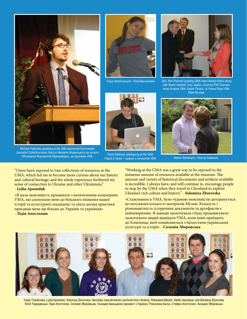

Michael Fedynsky speaking at the UMA sponsored Euromaidan Journalist Collective event. Виступ Михайла Фединського на зустрічі Об'єднаних Журналістів Євромайдану, за підтримки УМА.

"I have been exposed to vast collections of resources at the UMA, which led me to become more curious about our history and cultural heritage; and the whole experience furthered my sense of connection to Ukraine and other Ukrainians."

#### - **Lydia Apostoluk**

«Я мала можливість працювати з величезними колекціями УМА, які спонукали мене до більшого пізнання нашої історії та культурної спадщини; та увесь досвід практики приєднав мене ще більше до України та українців» - **Лідія Апостолюк**





Yuliya Vanchosovych - Юлія Ванчисович Sen. Rob Portman greeting UMA intern Nadiya Petriv along with Board member Yuriy Jaskiw. Сенатор Роб Портман вітає інтерна УМА, Надію Петрів, та Члена Ради УМА, Юрія Яськіва.



Павло Стасюк – працює з каталогом УМА Nestor Semenyuk - Нестор Семенюк

"Working at the UMA was a great way to be exposed to the immense amount of resources available at the museum. The amount and variety of historical documents and artifacts available is incredible. I always have, and will continue to, encourage people to stop by the UMA when they travel to Cleveland to explore Ukraine's rich culture and history." - **Solomiya Zborovska**

«Стажування в УМА, було чудовою можливістю доторкнутися до неосяжної кількості матеріалів Музею. Кількість і різноманітність історичних документів та артефактів є неймовірними. Я завжди заохочувала і буду продовжувати заохочувати людей відвідати УМА, коли вони приїздять до Клівленда, щоб ознайомитися з багатством українських культури та історії» - **Соломія Зборовська**



Yuliya Tvardovska, Lydia Apostoluk, Solomiya Zborovska, Hennadiy Ivanushchenko (archivist from Ukraine), Roksolana Balukh, Stefan Apostoluk, and Bohdana Zborovska Юлія Твардовська, Лідія Апостолюк, Соломія Зборовська, Геннадій Іванущенко (архивіст з Украіни), Роксолана Балух, Стефан Апостолюк і Богдана Зборовська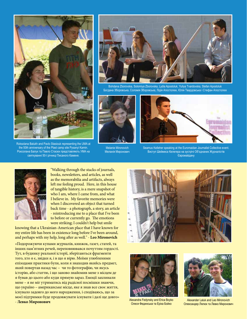

Roksolana Balukh and Pavlo Stasiouk representing the UMA at the 50th anniversary of the Plast camp site Pysanyi Kamin. Роксолана Балух та Павло Стасюк представляють УМА на святкуванні 50-ї річниці Писаного Каменя.

Bohdana Zborovska, Solomiya Zborovska, Lydia Apostoluk, Yuliya Tvardovska, Stefan Apostoluk Богдана Зборовська, Соломія Зборовська, Лідія Апостолюк, Юлія Твардовська і Стефан Апостолюк



Melanie Mironovich Меланія Миронович



Seamus Kelleher speaking at the Euromaidan Journalist Collective event. Виступ Шеймеса Келегера на зустрічі Об'єднаних Журналістів Євромайдану



"Walking through the stacks of journals, books, newsletters, and articles, as well as the memorabilia and artifacts, always left me feeling proud. Here, in this house of tangible history, is a mere snapshot of who I am, where I came from, and what I believe in. My favorite memories were when I discovered an object that turned back time - a photograph, a story, an article - reintroducing me to a place that I've been to before or currently go. The emotions were striking; I couldn't help but smile

knowing that a Ukrainian-American place that I have known for my entire life has been in existence long before I've been around, and perhaps with my help, long after as well." - **Leo Mironovich**

«Подорожуючи купами журналів, книжок, газет, статей, та інших пам'ятних речей, переповнювався почуттям гордості. Тут, в будинку реальної історії, зберігаються фрагменти того, хто я є, звідки я, і в що я вірю. Моїми улюбленими епізодами практики були, коли я знаходив якийсь предмет, який повертав назад час – чи то фотографію, чи якусь історію, або статтю, і що заново знайомив мене з місцем де я бував до цього або куди прямую зараз. Емоції захлинали мене – я не міг утриматись від радісної посмішки знаючи, що україно – американське місце, яке я знав все своє життя, існувало задовго до мого народження, і сподіваюсь, що за моєї підтримки буде продовжувати існувати і далі ще довго» - **Левко Миронович**





Alexandra Fedynsky and Erica Boyko Олеся Фединська та Еріка Бойко



Alexander Laluk and Leo Mironovich Олександeр Лялюк та Левко Миронович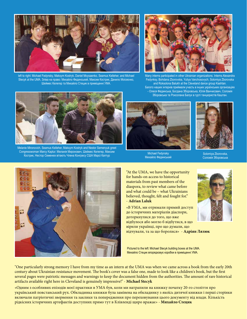

left to right: Michael Fedynsky, Maksym Kostryk, Daniel Moysaenko, Seamus Kelleher, and Michael Stecyk at the UMA. Зліва на право: Михайло Фединський, Максим Кострик, Данило Моісеєнко, Шеймес Келегер та Михайло Стецик в приміщенні УМА.



Many interns participated in other Ukrainian organizations. Interns Alexandra Fedynksy, Bohdana Zborovska, Yuliya Vanchosovych, Solomiya Zborovska and Roksolona Balukh at the Cleveland dance group Kashtan. Багато наших інтернів приймали участь в інших українських організаціях - Олеся Фединська, Богдана Зборовська, Юлія Ванчисович, Соломія Зборовська та Роксолана Балух в гурті танцюристів Каштан.



Melanie Mironovich, Seamus Kelleher, Maksym Kostryk and Nestor Semenyuk greet Congresswoman Marcy Kaptur. Меланія Миронович, Шеймес Келегер, Максим Кострик, Нестор Семенюк вітають Члена Конгресу США Марсі Каптур



Michael Fedynsky Михайло Фединський



Solomiya Zborovska, Соломія Зборовська



"At the UMA, we have the opportunity for hands-on access to historical materials from past members of the diaspora, to review what came before and what could be – what Ukrainians believed, thought, felt and fought for." - **Adrian Laluk**

«В УМА, ми отримали прямий доступ до історичних матеріалів діаспори, доторкнулися до того, що вже відбулося або могло б відбутися, в що вірили українці, про що думали, що відчували, та за що боролися» - **Адріян Лялюк**

Pictured to the left: Michael Stecyk building boxes at the UMA. Михайло Стецик впорядковує коробки в приміщенні УМА.

"One particularly strong memory I have from my time as an intern at the UMA was when we came across a book from the early 20th century about Ukrainian resistance movement. The book's cover was a false one, made to look like a children's book, but the first several pages were patriotic messages and warnings to keep the document hidden from the authorities. The amount of rare historical artifacts available right here in Cleveland is genuinely impressive!" - **Michael Stecyk**

«Одним з особливих епізодів моєї практики в УМА був, коли ми натрапили на книжку початку 20-го століття про український повстанський рух. Обкладинка книжки була замінена на обкладинку з якоїсь дитячої книжки і перші сторінки включали патріотичні звернення та заклики та попередження про переховування цього документу від влади. Кількість рідкісних історичних артефактів доступних прямо тут в Клівленді щиро вражає» - **Михайло Стецик**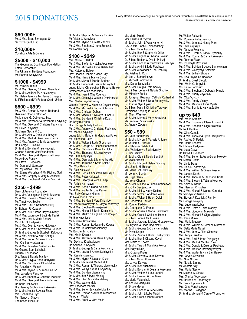#### **\$50,000+**

Mr. & Mrs. Taras Szmagala, Sr. SP TREMONT, LLC

#### **\$10,000+**

Cuyahoga Arts & Culture

#### **\$5000 - \$10,000**

The George W. Codrington Foundation Eaton Corporation The Ukrainian Heritage Foundation Mr. Roman Wasylyszyn

### **\$1000 - \$4999** Mr. Yaroslav Bihun

Mr. & Mrs. Geofrey & Helen Greenleaf Dr. & Mrs. Andrew M. Hruszkewycz Ms. Helen Jarem & Mr. Taras Szmagala Self Reliance (NY) Federal Credit Union

#### **\$500 - \$999**

Mr. & Mrs. Roman & Ivanna Bodnaruk Ukrainian Chorus "Dnipro" Mr. Michael G. Dobronos, Esq. Mr. & Mrs. Alexander & Alexandra Fedynsky Mr. & Mrs. George & Christine Fedynsky Mr. Peter Fedynsky Goldman, Sachs & Co. Dr. & Mrs. Alex & Daria Jakubowycz Mr. & Mrs. Mark & Daria Jakubowycz Mr. & Mrs. Andrew & Tania Jarosewich Dr. George E. Jaskiw Dr. & Mrs. Bohdan & Ilse Kupczak Charles Stewart Mott Foundation Mr. & Mrs. George & Myra Oryshkewych Mr. Andrew Pankiw Mr. Steve J. Popovich Ms. Donna M. Soroczak Ms. Myroslawa Tesluk Ms. Elaine Woloshyn & Mr. Richard Stahl Mr. & Mrs. Gregory & Mary S. Zenczak Mr. & Mrs. Stephen & Patricia Zenczak **\$250 - \$499** Bank of America Foundation Dr. & Mrs. Volodymyr & Lydia Bazarko Mr. & Mrs. Steven & Vera Beggs Mr. Timothy A. Boyko Mr. & Mrs. Paul & Katherine Burlij Dr. Bohdan R. Czepak

Dr. & Mrs. Yuri & Irena Deychakiwsky Mr. & Mrs. Laurence & Lucinda Fedak Mr. & Mrs. Ihor & Maria Fedkiw Mr. John G. Fedynsky Mr. & Mrs. Oleh & Hanya Holowatyj Dr. & Mrs. Zenon & Myroslawa Holubec Dr. & Mrs. George & Elizabeth Kalbouss Mr. & Mrs. Nestor & Nina Kostryk Mr. & Mrs. Zenon & Dozia Krislaty Ms. Kristina Kvartsyana Mr. & Mrs. Jaroslaw & Alla Leshko Mr. George Sam Lishchuk Lubrizol Foundation Drs. Taras & Natalia Mahlay Dr. & Mrs. Osyp & Anne Martyniuk Mr. & Mrs. Nicholas & Olga Melnik Ms. Arcadia H. Melnyk Mr. & Mrs. Myron S. & Irene Pakush Mrs. Jaroslava Panchuk Dr. & Mrs. Bohdan & Christina Pichurko Mr. & Mrs. George & Areta Polansky Dr. Boris Rakowsky

Drs. Jeremy & Christine Rakowsky

- Dr. & Mrs. Nestor & Anisa Shust
- Mrs. Bohdanna Slyz
- Ms. Nancy J. Stecyk Thompson Hine LLP

Dr. & Mrs. Stephan & Tamara Tymkiw Mr. Victor J. Wasylyna Mr. & Mrs. Myron & Oresta Zadony Mr. & Mrs. Stephen & Irene Zenczak Mr. Roman Zorij

#### **\$100 - \$249** Mrs. Mollie E. Alstott

Mr. & Mrs. Stefan & Natalia Apostoluk Mr. & Mrs. Michael & Lydia Balahutrak Mrs. Kateryna Bebko Rev. Deacon Donald & Jean Billy Mr. & Mrs. Hans & Mariya Bloom Dr. & Mrs. Myron & Martha Bodnar Dr. & Mrs. Eugene & Elizabeth Boychuk Judge & Mrs. Christopher & Roberta Boyko Brotherhood of St. Vladimir's Mr. & Mrs. Ivan & Olya Czerkas Dr. & <mark>Mrs. Dionis</mark>yj & Oksana Demiancz<mark>u</mark>k Mrs. <mark>Nadia Deychak</mark>iwsky Oksana Pronych & Nicholas Deychakiwsky Mr. & Mrs. Michael & Tanya Dobronos Mr. & Mrs. Christian Dubas Dr. & Mrs. Vladimir & Natalya Dubchuk Mr. & Mrs. Bohdan & Christine Dziuk Dr. Dmytro Farion Drs. George & Kelly Fedoriw Mr. & Mrs. Andrew & Christine Fedynsky Ms. Maria Fedynsky Judge & Mrs. Bohdan & Myroslava Futey Ms. Valentina Gluch Dr. & Mrs. Walter & Luda Grossman Dr. & Mrs. George & Oksana Hodowanec Mr. & Mrs. Nicholas & Dzwinka Holian Mr. & Mrs. Theodosij & Lucia Hryciw Mrs. Olha Ilczyszyn Mr. & Mrs. Gennadiy & Mariya Ivankiv Mr. & Mrs. Terrence & Katia Kaiser Ms. Olga Kalushka Ms. Alex Kaluszyk Mr. & Mrs. Boris & Anastasia Kaluszyk Mr. & Mrs. Peter Kaluszyk Mr. & Mrs. George & Vera A. Kap Ms. Anizia Karmazyn Mr. & Mrs. Sean & Marta Kelleher Mr. & Mrs. Walter & Luba Keske Mrs. Sally Conway Kilbane Dr. Alexander A. Klos Mr. & Mrs. Bohdan & Vera Knianicky Ms. Marta Kolomayets & Danylo Yanevsky Mr. & Mrs. Stephen Komarjanski Mr. & Mrs. Michael & Daria Komichak Mr. & Mrs. Marko & Eugenia Korlatowych Mr. Ihor Kowalysko Mr. Michael Kowalysko Mr. & Mrs. Roman & Alexandra Kowcz Mr. & Mrs. Jaroslav Krasniansky Mr. Bohdan M. Krislaty Mrs. Maria Krislatyj Mr. & Mrs. Alexander & Maria Krychyk Ms. Dzvinka Kryshtalowych Dr. Adriana R. Krywiak Dr. & Mrs. George & Daria Kulchytsky Mr. & Mrs. Levko & Aretka Kulchytsky Ms. Ksenia Kuzmycz Mr. & Mrs. Myron & Natalka Kuzyk Dr. & Mrs. Michael & Marta Laluk Mr. & Mrs. Roman & Theresa Liscynesky Mr. & Mrs. Wasyl & Wira Liscynesky Mr. & Mrs. Bohdan Liszniansky Dr. & Mrs. Ihor & Iryna Mahlay Mr. & Mrs. Oleh & Natalia Mahlay Mr. & Mrs. Wayne Malz Rev. Theodore Marszal Mr. & Mrs. Zenon & Natalie Miahky Mr. & Mrs. Roman & Adriana Mironovich Mr. Adam Misztal Mr. & Mrs. Frank & Vera Molls

Ms. Marta Mudri Mrs. Larissa Muzyczka Mr. & Mrs. John & Vera Nahornyj Rev. & Mrs. John R. Nakonachny Dr. & Mrs. Taras Napora Mr. & Mrs. Ihor & Stephanie Olijar Mr. & Mrs. Eugene & Oksana Pakush Dr. & Mrs. Rodion & Orysia Palazij Mr. & Mrs. Bohdan & Kwitoslawa Paschyn Mr. & Mrs. Andrij & Lida Pawlyszyn Mr. & Mrs. Alexander & Toni Pohuliaj Ms. Kristina L. Rus Mr. Leo J. Samokieszyn Dr. Michael Samotowka Mrs. Daria Samotulka Mr. & Mrs. Doug & Pam Seeley Rev. & Mrs. Jeffrey & Natalia Smolilo Mr. Miroslav Sopka **St. Josaphat Ukrainian Catholic Cathedral** Mr. & Mrs. Walter & Dora Storozynsky Dr. Joanna Sym Lipsky Dr. & Mrs. Mark & Christine Terpylak Ukrainians Keeping in Touch Mr. Orest Wasyluk Mr. & Mrs. Myron & Mary Wasylyna Ms. Irene A. Zawadiwsky Dr. Andrew Zwarun

#### **\$50 - \$99**

Ms. Vera Andrushkiw Mr. & Mrs. Myron & Marusia Antoniw Mr. William G. Arthrell Mrs. Stefania Balahutrak Mrs. Wolodymyra Basladynsky Dr. Ihor Bemko Mr. & Mrs. Oleh & Neala Bendiuk Mr. Walter Benitt Mr. & Mrs. Myron & Helen Bilynsky Mrs. Jennie H. Bochar Ms. Marie Bohuslawsky Mr. John H. Bundy Ms. Olga Carey Ms. Irene Choma Mr. & Mrs. Michael & Luba Darmochwal Mrs. Olha Demjanczuk Mr. & Mrs. Nick & Kathy Dolbin Mr. & Mrs. Victor & Andrea Dolbin Mr. & Mrs. Walter & Helen Dolbin The Federated Church Mr. Roman Fedkiw Ms. Georgiann G. Franko Mr. & Mrs. Adrian & Marta Halarewicz Mr. & Mrs. Orest & Christine Hanas Dr. & Mrs. John & Gail Holian Mr. & Mrs. Jaroslav & Marta Hruszkewycz Drs. Mykola & Linda Hryhorczuk Mr. & Mrs. George & Olga Kamoutsis Mr. Pavlo Karpin Mr. & Mrs. Zenon & Hilde Kniahynyckyj Mr. & Mrs. Ihor & Oksana Koval Mrs. Marta M Kowcz Mr. & Mrs. Taras & Marichka Kowcz Mrs. Halyna Kozij Mrs. Oksana Kraus Mr. & Mrs. Steven & Jean Kravec Dr. & Mrs. Myron Kuropas Ms. Larysa Kurylas Mr. & Mrs. Ihor Kushmeliuk Mr. & Mrs. Bohdan & Oksana Kuzyszyn Mr. & Mrs. Walter & Luba Lendel Mr. & Mrs. Howard & Sue Maier Ms. Marie Malanchuk Mr. Andrew Martyniuk Mr. Bruce Mavec Mr. & Mrs. Bohdan & Irene Milan Mr. & Mrs. John & Luba Mudri

Mr. & Mrs. Orest & Maria Nebesh

Mr. Walter Paliwoda Ms. Romana Peluszkewycz Mr. & Mrs. James & Nancy Petro Mr. Ted Petryszyn Ms. Tamara Polansky Mr. & Mrs. I. Paul & Nancy Prysiazny Mr. & Mrs. Roman & Daria Rakowsky Ms. Tamara Rivak Ms. Lyudmyla Rozumna Mr. & Mrs. Bohdan & Joyce Samokyszyn Mr. & Mrs. Volodymyr Shtokalo Mr. & Mrs. Jeffrey Shuran Ms. Lisa Shyika Shrubowich Dr. & Mrs. Orest Stecyk Mrs. Maria O. Terpylak Ms. Laurel Tombazzi Mr. & Mrs. Stephen & Deborah Tymcio Mr. & Mrs. Andriy Voyetskiy Ms. Olga Voytkiv Mr. & Mrs. Andriy Vozniy Mr. & Mrs. Marion & Lydia Vyrsta Mr. & Mrs. Serhiy & Halyna Zadko

#### **up to \$49**

Mrs. Maria Antoniw Mr. & Mrs. Eugene & Olena Apostoluk Mr. & Mrs. Bohdan & Olga Baleshta Mr. Nick Bartkiw Ms. Olha Czmola Mr. & Mrs. Andrew & Lydia Demjanczuk Ms. Audrey S. Fedak Mrs. Daria Fedoriw Mr. Michael Fedynsky Ms. Luba Gawur Dr. David J. Goldberg Mr. & Mrs. Zenon & Areta Golembiowsky Mr. Martin Griffith Ms. Linda Haas Ms. Lidia R. Karmazyn Mr. & Mrs. William & Eileen Kessler Ms. Larissa Korth Mr. & Mrs. Thomas & Stephanie Korth Mr. & Mrs. Steven & Tetiana Kosmos Ms. Aniza A. Kraus Mrs. Hannah P. Kuchar Mr. & Mrs. Mikhail & Ivanna Kurdoba Mr. Volodymyr Kushnir Mr. Steven J. Kuzniak & Family Mr. George Lewycky Mrs. Lubomyra Lobur Mr. & Mrs. Petro & Taisa Mahlay Mr. & Mrs. Lioubomir Makoida Mr. & Mrs. Michael & Olga Migielicz Ms. Irene Misko Mrs. Maria Mudrak Mr. & Mrs. William & Romana Murmann Ms. Betty Marie Nassif Mr. & Mrs. John & Alice Olenchuk Mrs. Tanya Osadca Mr. & Mrs. Emil & Irene Pavlyshyn Mr. & Mrs. Mark & Martha Rhea Mr. & Mrs. Donald & Dolores Roshetko Mr. & Mrs. Markian Rozmarynowycz Mr. & Mrs. Walter & Nina Samijlenko Mrs. Orysia Sawchak Ms. Nina Sikora Ms. Natalie Simms Mr. Anatole Siry Mrs. Maria Stecyk Mr. Michael A. Stecyk Mrs. Olenka Toporowych Ms. Roksolana Toporowych Mr. Taras Toporowych Mrs. Olha Vanchosovych Ms. Martha J. Wiegand Dr. & Mrs. Michael & Carole Wronkovich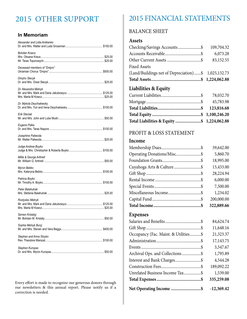#### **In Memoriam**

| Alexander and Lidia Anikienko |  |
|-------------------------------|--|
| Bohdan Kowcz                  |  |
| Deceased members of "Dnipro"  |  |
| Dmytro Stecyk                 |  |
| Dr. Alexandra Melnyk          |  |
| Dr. Mykola Deychakiwsky       |  |
| Erik Steciak                  |  |
| Eugene Palka                  |  |
| Josephine Paliwoda            |  |
| Judge Andrew Boyko            |  |
| Millie & George Arthrell      |  |
| Myron Bebko                   |  |
| Patricia Boyko                |  |
| Peter Balahutrak              |  |
| Rostyslav Melnyk              |  |
| Semen Krislatyj               |  |
| Sophia Melnyk Buryj           |  |
| Stephan and Anna Stoyko       |  |
| Stephen Kuropas               |  |

Every effort is made to recognize our generous donors through our newsletters & this annual report. Please notify us if a correction is needed.

### 2015 OTHER SUPPORT 2015 FINANCIAL STATEMENTS

#### BALANCE SHEET

#### **Assets**

| <b>Liabilities &amp; Equity</b>                     |            |
|-----------------------------------------------------|------------|
|                                                     |            |
| (Land/Buildings net of Depreciation)\$ 1,025,132.73 |            |
| <b>Fixed Assets</b>                                 |            |
|                                                     | 83,152.55  |
|                                                     | 6,073.28   |
| Checking/Savings Accounts\$                         | 109,704.32 |
|                                                     |            |

| Total Liabilities & Equity \$ 1,224,062.88 |  |
|--------------------------------------------|--|

### PROFIT & LOSS STATEMENT

#### **Income**

|                           | 39,642.00  |
|---------------------------|------------|
|                           | 5,860.70   |
|                           | 18,995.00  |
| Cuyahoga Arts & Culture\$ | 15,433.00  |
|                           | 28,224.94  |
|                           | 6,000.00   |
|                           | 7,500.00   |
|                           | 1,234.02   |
|                           | 200,000.00 |
|                           | 322,889.66 |

#### **Expenses**

|                                      | 84,624.74    |
|--------------------------------------|--------------|
|                                      | 11,648.16    |
| Occupancy (Fac. Maint. & Utilities\$ | 21,323.37    |
|                                      | 17,143.75    |
|                                      | 3,547.67     |
| Archival Ops. and Collections\$      | 1,795.89     |
|                                      | 4,544.28     |
|                                      | 189,092.22   |
| Unrelated Business Income Tax\$      | 1,539.00     |
|                                      | 335,259.08   |
| Net Operating Income \$              | $-12,369.42$ |